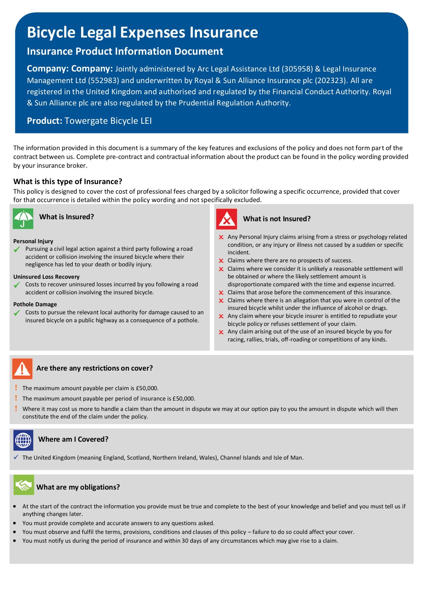# **Bicycle Legal Expenses Insurance**

# **Insurance Product Information Document**

**Company: Company:** Jointly administered by Arc Legal Assistance Ltd (305958) & Legal Insurance Management Ltd (552983) and underwritten by Royal & Sun Alliance Insurance plc (202323). All are registered in the United Kingdom and authorised and regulated by the Financial Conduct Authority. Royal & Sun Alliance plc are also regulated by the Prudential Regulation Authority.

# **Product:** Towergate Bicycle LEI

The information provided in this document is a summary of the key features and exclusions of the policy and does not form part of the contract between us. Complete pre-contract and contractual information about the product can be found in the policy wording provided by your insurance broker.

## **What is this type of Insurance?**

This policy is designed to cover the cost of professional fees charged by a solicitor following a specific occurrence, provided that cover for that occurrence is detailed within the policy wording and not specifically excluded.



**What is Insured?**

#### **Personal Injury**

Pursuing a civil legal action against a third party following a road accident or collision involving the insured bicycle where their negligence has led to your death or bodily injury.

#### **Uninsured Loss Recovery**

Costs to recover uninsured losses incurred by you following a road accident or collision involving the insured bicycle.

#### **Pothole Damage**

Costs to pursue the relevant local authority for damage caused to an insured bicycle on a public highway as a consequence of a pothole.



### **What is not Insured?**

- X Any Personal Injury claims arising from a stress or psychology related condition, or any injury or illness not caused by a sudden or specific incident.
- **x** Claims where there are no prospects of success.
- $\times$  Claims where we consider it is unlikely a reasonable settlement will be obtained or where the likely settlement amount is disproportionate compared with the time and expense incurred.
- **x** Claims that arose before the commencement of this insurance.
- $\times$  Claims where there is an allegation that you were in control of the insured bicycle whilst under the influence of alcohol or drugs.
- $\boldsymbol{\times}$  Any claim where your bicycle insurer is entitled to repudiate your bicycle policy or refuses settlement of your claim.
- Any claim arising out of the use of an insured bicycle by you for racing, rallies, trials, off-roading or competitions of any kinds.

# i ŗ

I

### **Are there any restrictions on cover?**

- **!** The maximum amount payable per claim is £50,000.
- **!** The maximum amount payable per period of insurance is £50,000.
- **!** Where it may cost us more to handle a claim than the amount in dispute we may at our option pay to you the amount in dispute which will then constitute the end of the claim under the policy.

# **Where am I Covered?**

The United Kingdom (meaning England, Scotland, Northern Ireland, Wales), Channel Islands and Isle of Man.

### **What are my obligations?**

- At the start of the contract the information you provide must be true and complete to the best of your knowledge and belief and you must tell us if anything changes later.
- You must provide complete and accurate answers to any questions asked.
- You must observe and fulfil the terms, provisions, conditions and clauses of this policy failure to do so could affect your cover.
- You must notify us during the period of insurance and within 30 days of any circumstances which may give rise to a claim.